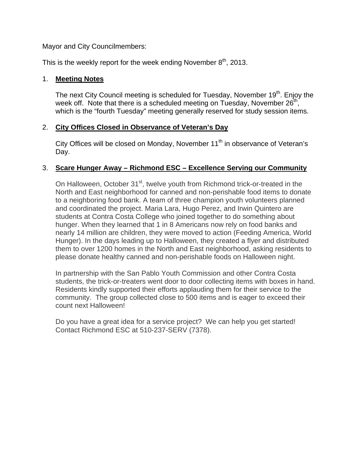Mayor and City Councilmembers:

This is the weekly report for the week ending November  $8<sup>th</sup>$ , 2013.

### 1. **Meeting Notes**

The next City Council meeting is scheduled for Tuesday, November 19<sup>th</sup>. Enjoy the week off. Note that there is a scheduled meeting on Tuesday, November  $26<sup>th</sup>$ , which is the "fourth Tuesday" meeting generally reserved for study session items.

# 2. **City Offices Closed in Observance of Veteran's Day**

City Offices will be closed on Monday, November 11<sup>th</sup> in observance of Veteran's Day.

### 3. **Scare Hunger Away – Richmond ESC – Excellence Serving our Community**

On Halloween, October 31<sup>st</sup>, twelve youth from Richmond trick-or-treated in the North and East neighborhood for canned and non-perishable food items to donate to a neighboring food bank. A team of three champion youth volunteers planned and coordinated the project. Maria Lara, Hugo Perez, and Irwin Quintero are students at Contra Costa College who joined together to do something about hunger. When they learned that 1 in 8 Americans now rely on food banks and nearly 14 million are children, they were moved to action (Feeding America, World Hunger). In the days leading up to Halloween, they created a flyer and distributed them to over 1200 homes in the North and East neighborhood, asking residents to please donate healthy canned and non-perishable foods on Halloween night.

In partnership with the San Pablo Youth Commission and other Contra Costa students, the trick-or-treaters went door to door collecting items with boxes in hand. Residents kindly supported their efforts applauding them for their service to the community. The group collected close to 500 items and is eager to exceed their count next Halloween!

Do you have a great idea for a service project? We can help you get started! Contact Richmond ESC at 510-237-SERV (7378).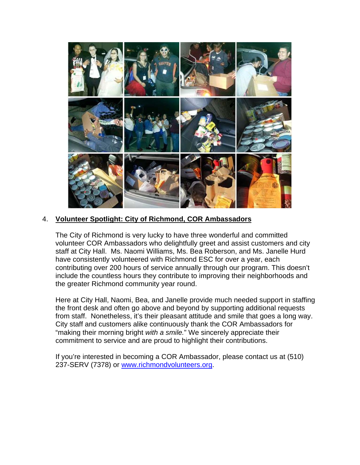

# 4. **Volunteer Spotlight: City of Richmond, COR Ambassadors**

The City of Richmond is very lucky to have three wonderful and committed volunteer COR Ambassadors who delightfully greet and assist customers and city staff at City Hall. Ms. Naomi Williams, Ms. Bea Roberson, and Ms. Janelle Hurd have consistently volunteered with Richmond ESC for over a year, each contributing over 200 hours of service annually through our program. This doesn't include the countless hours they contribute to improving their neighborhoods and the greater Richmond community year round.

Here at City Hall, Naomi, Bea, and Janelle provide much needed support in staffing the front desk and often go above and beyond by supporting additional requests from staff. Nonetheless, it's their pleasant attitude and smile that goes a long way. City staff and customers alike continuously thank the COR Ambassadors for "making their morning bright *with a smile.*" We sincerely appreciate their commitment to service and are proud to highlight their contributions.

If you're interested in becoming a COR Ambassador, please contact us at (510) 237-SERV (7378) or www.richmondvolunteers.org.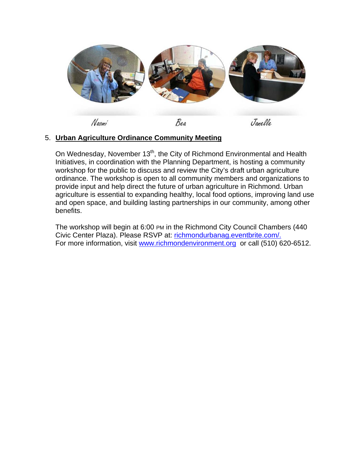

# 5. **Urban Agriculture Ordinance Community Meeting**

On Wednesday, November 13<sup>th</sup>, the City of Richmond Environmental and Health Initiatives, in coordination with the Planning Department, is hosting a community workshop for the public to discuss and review the City's draft urban agriculture ordinance. The workshop is open to all community members and organizations to provide input and help direct the future of urban agriculture in Richmond. Urban agriculture is essential to expanding healthy, local food options, improving land use and open space, and building lasting partnerships in our community, among other benefits.

The workshop will begin at 6:00 PM in the Richmond City Council Chambers (440 Civic Center Plaza). Please RSVP at: richmondurbanag.eventbrite.com/. For more information, visit www.richmondenvironment.org or call (510) 620-6512.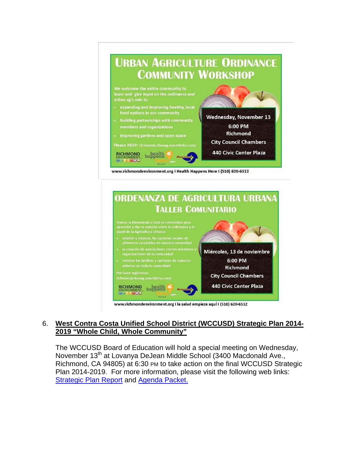



### 6. **West Contra Costa Unified School District (WCCUSD) Strategic Plan 2014- 2019 "Whole Child, Whole Community"**

The WCCUSD Board of Education will hold a special meeting on Wednesday, November 13<sup>th</sup> at Lovanya DeJean Middle School (3400 Macdonald Ave., Richmond, CA 94805) at 6:30 PM to take action on the final WCCUSD Strategic Plan 2014-2019. For more information, please visit the following web links: **Strategic Plan Report and Agenda Packet.**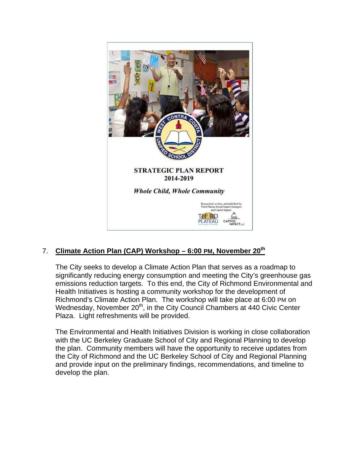

# 7. **Climate Action Plan (CAP) Workshop – 6:00 PM, November 20th**

The City seeks to develop a Climate Action Plan that serves as a roadmap to significantly reducing energy consumption and meeting the City's greenhouse gas emissions reduction targets. To this end, the City of Richmond Environmental and Health Initiatives is hosting a community workshop for the development of Richmond's Climate Action Plan. The workshop will take place at 6:00 PM on Wednesday, November 20<sup>th</sup>, in the City Council Chambers at 440 Civic Center Plaza. Light refreshments will be provided.

The Environmental and Health Initiatives Division is working in close collaboration with the UC Berkeley Graduate School of City and Regional Planning to develop the plan. Community members will have the opportunity to receive updates from the City of Richmond and the UC Berkeley School of City and Regional Planning and provide input on the preliminary findings, recommendations, and timeline to develop the plan.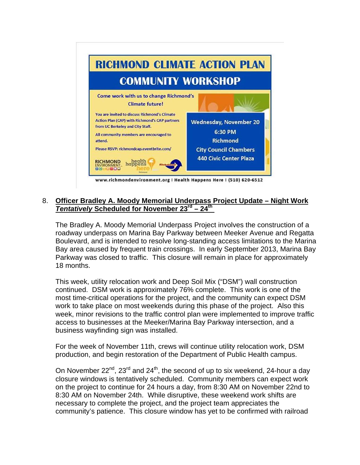

### 8. **Officer Bradley A. Moody Memorial Underpass Project Update – Night Work**  *Tentatively* **Scheduled for November 23rd – 24th**

The Bradley A. Moody Memorial Underpass Project involves the construction of a roadway underpass on Marina Bay Parkway between Meeker Avenue and Regatta Boulevard, and is intended to resolve long-standing access limitations to the Marina Bay area caused by frequent train crossings. In early September 2013, Marina Bay Parkway was closed to traffic. This closure will remain in place for approximately 18 months.

This week, utility relocation work and Deep Soil Mix ("DSM") wall construction continued. DSM work is approximately 76% complete. This work is one of the most time-critical operations for the project, and the community can expect DSM work to take place on most weekends during this phase of the project. Also this week, minor revisions to the traffic control plan were implemented to improve traffic access to businesses at the Meeker/Marina Bay Parkway intersection, and a business wayfinding sign was installed.

For the week of November 11th, crews will continue utility relocation work, DSM production, and begin restoration of the Department of Public Health campus.

On November  $22^{nd}$ ,  $23^{rd}$  and  $24^{th}$ , the second of up to six weekend, 24-hour a day closure windows is tentatively scheduled. Community members can expect work on the project to continue for 24 hours a day, from 8:30 AM on November 22nd to 8:30 AM on November 24th. While disruptive, these weekend work shifts are necessary to complete the project, and the project team appreciates the community's patience. This closure window has yet to be confirmed with railroad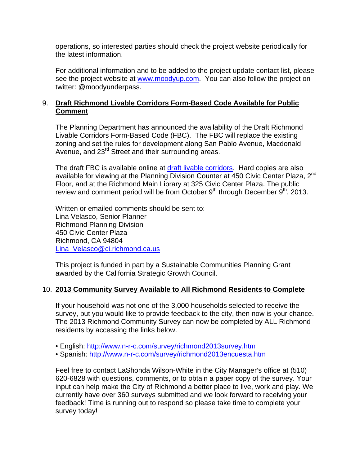operations, so interested parties should check the project website periodically for the latest information.

For additional information and to be added to the project update contact list, please see the project website at www.moodyup.com. You can also follow the project on twitter: @moodyunderpass.

### 9. **Draft Richmond Livable Corridors Form-Based Code Available for Public Comment**

The Planning Department has announced the availability of the Draft Richmond Livable Corridors Form-Based Code (FBC). The FBC will replace the existing zoning and set the rules for development along San Pablo Avenue, Macdonald Avenue, and 23<sup>rd</sup> Street and their surrounding areas.

The draft FBC is available online at draft livable corridors. Hard copies are also available for viewing at the Planning Division Counter at 450 Civic Center Plaza, 2<sup>nd</sup> Floor, and at the Richmond Main Library at 325 Civic Center Plaza. The public review and comment period will be from October  $9<sup>th</sup>$  through December  $9<sup>th</sup>$ , 2013.

Written or emailed comments should be sent to: Lina Velasco, Senior Planner Richmond Planning Division 450 Civic Center Plaza Richmond, CA 94804 Lina\_Velasco@ci.richmond.ca.us

This project is funded in part by a Sustainable Communities Planning Grant awarded by the California Strategic Growth Council.

### 10. **2013 Community Survey Available to All Richmond Residents to Complete**

If your household was not one of the 3,000 households selected to receive the survey, but you would like to provide feedback to the city, then now is your chance. The 2013 Richmond Community Survey can now be completed by ALL Richmond residents by accessing the links below.

- English: http://www.n-r-c.com/survey/richmond2013survey.htm
- Spanish: http://www.n-r-c.com/survey/richmond2013encuesta.htm

Feel free to contact LaShonda Wilson-White in the City Manager's office at (510) 620-6828 with questions, comments, or to obtain a paper copy of the survey. Your input can help make the City of Richmond a better place to live, work and play. We currently have over 360 surveys submitted and we look forward to receiving your feedback! Time is running out to respond so please take time to complete your survey today!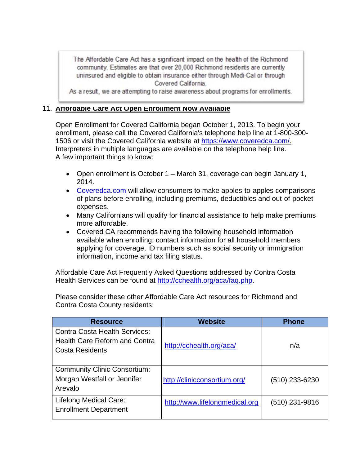The Affordable Care Act has a significant impact on the health of the Richmond community. Estimates are that over 20,000 Richmond residents are currently uninsured and eligible to obtain insurance either through Medi-Cal or through Covered California.

As a result, we are attempting to raise awareness about programs for enrollments.

#### 11. **Affordable Care Act Open Enrollment Now Available**

Open Enrollment for Covered California began October 1, 2013. To begin your enrollment, please call the Covered California's telephone help line at 1-800-300- 1506 or visit the Covered California website at https://www.coveredca.com/. Interpreters in multiple languages are available on the telephone help line. A few important things to know:

- Open enrollment is October 1 March 31, coverage can begin January 1, 2014.
- Coveredca.com will allow consumers to make apples-to-apples comparisons of plans before enrolling, including premiums, deductibles and out-of-pocket expenses.
- Many Californians will qualify for financial assistance to help make premiums more affordable.
- Covered CA recommends having the following household information available when enrolling: contact information for all household members applying for coverage, ID numbers such as social security or immigration information, income and tax filing status.

Affordable Care Act Frequently Asked Questions addressed by Contra Costa Health Services can be found at http://cchealth.org/aca/faq.php.

Please consider these other Affordable Care Act resources for Richmond and Contra Costa County residents:

| <b>Resource</b>                                                                                        | <b>Website</b>                 | <b>Phone</b>   |
|--------------------------------------------------------------------------------------------------------|--------------------------------|----------------|
| <b>Contra Costa Health Services:</b><br><b>Health Care Reform and Contra</b><br><b>Costa Residents</b> | http://cchealth.org/aca/       | n/a            |
| <b>Community Clinic Consortium:</b><br>Morgan Westfall or Jennifer<br>Arevalo                          | http://clinicconsortium.org/   | (510) 233-6230 |
| <b>Lifelong Medical Care:</b><br><b>Enrollment Department</b>                                          | http://www.lifelongmedical.org | (510) 231-9816 |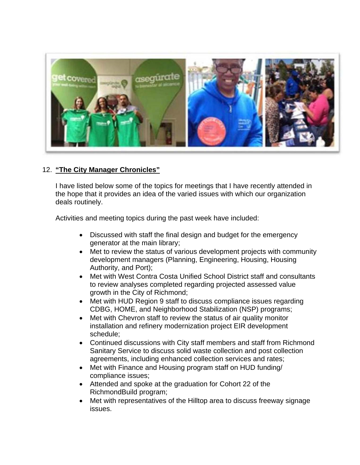

### 12. **"The City Manager Chronicles"**

I have listed below some of the topics for meetings that I have recently attended in the hope that it provides an idea of the varied issues with which our organization deals routinely.

Activities and meeting topics during the past week have included:

- Discussed with staff the final design and budget for the emergency generator at the main library;
- Met to review the status of various development projects with community development managers (Planning, Engineering, Housing, Housing Authority, and Port);
- Met with West Contra Costa Unified School District staff and consultants to review analyses completed regarding projected assessed value growth in the City of Richmond;
- Met with HUD Region 9 staff to discuss compliance issues regarding CDBG, HOME, and Neighborhood Stabilization (NSP) programs;
- Met with Chevron staff to review the status of air quality monitor installation and refinery modernization project EIR development schedule;
- Continued discussions with City staff members and staff from Richmond Sanitary Service to discuss solid waste collection and post collection agreements, including enhanced collection services and rates;
- Met with Finance and Housing program staff on HUD funding/ compliance issues;
- Attended and spoke at the graduation for Cohort 22 of the RichmondBuild program;
- Met with representatives of the Hilltop area to discuss freeway signage issues.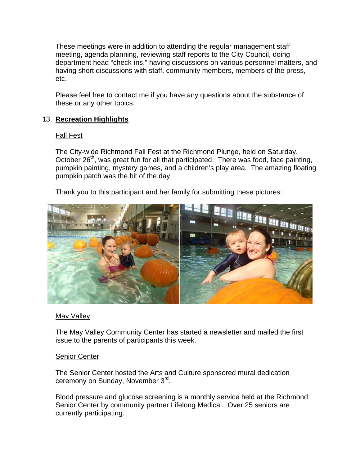These meetings were in addition to attending the regular management staff meeting, agenda planning, reviewing staff reports to the City Council, doing department head "check-ins," having discussions on various personnel matters, and having short discussions with staff, community members, members of the press, etc.

Please feel free to contact me if you have any questions about the substance of these or any other topics.

# 13. **Recreation Highlights**

### Fall Fest

The City-wide Richmond Fall Fest at the Richmond Plunge, held on Saturday, October 26<sup>th</sup>, was great fun for all that participated. There was food, face painting, pumpkin painting, mystery games, and a children's play area. The amazing floating pumpkin patch was the hit of the day.

Thank you to this participant and her family for submitting these pictures:



# May Valley

The May Valley Community Center has started a newsletter and mailed the first issue to the parents of participants this week.

### Senior Center

The Senior Center hosted the Arts and Culture sponsored mural dedication ceremony on Sunday, November 3rd.

Blood pressure and glucose screening is a monthly service held at the Richmond Senior Center by community partner Lifelong Medical. Over 25 seniors are currently participating.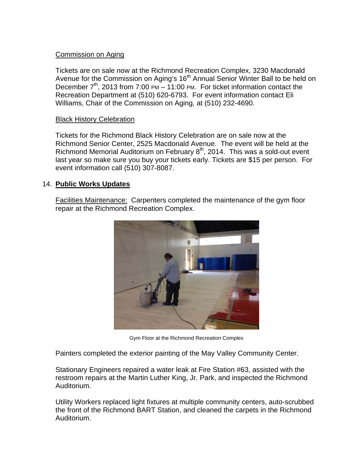# Commission on Aging

Tickets are on sale now at the Richmond Recreation Complex, 3230 Macdonald Avenue for the Commission on Aging's 16<sup>th</sup> Annual Senior Winter Ball to be held on December  $7<sup>th</sup>$ , 2013 from 7:00 PM – 11:00 PM. For ticket information contact the Recreation Department at (510) 620-6793. For event information contact Eli Williams, Chair of the Commission on Aging, at (510) 232-4690.

### Black History Celebration

Tickets for the Richmond Black History Celebration are on sale now at the Richmond Senior Center, 2525 Macdonald Avenue. The event will be held at the Richmond Memorial Auditorium on February  $8<sup>th</sup>$ , 2014. This was a sold-out event last year so make sure you buy your tickets early. Tickets are \$15 per person. For event information call (510) 307-8087.

### 14. **Public Works Updates**

Facilities Maintenance: Carpenters completed the maintenance of the gym floor repair at the Richmond Recreation Complex.



Gym Floor at the Richmond Recreation Complex

Painters completed the exterior painting of the May Valley Community Center.

Stationary Engineers repaired a water leak at Fire Station #63, assisted with the restroom repairs at the Martin Luther King, Jr. Park, and inspected the Richmond Auditorium.

Utility Workers replaced light fixtures at multiple community centers, auto-scrubbed the front of the Richmond BART Station, and cleaned the carpets in the Richmond Auditorium.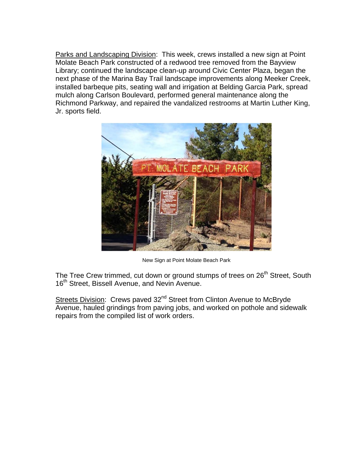Parks and Landscaping Division: This week, crews installed a new sign at Point Molate Beach Park constructed of a redwood tree removed from the Bayview Library; continued the landscape clean-up around Civic Center Plaza, began the next phase of the Marina Bay Trail landscape improvements along Meeker Creek, installed barbeque pits, seating wall and irrigation at Belding Garcia Park, spread mulch along Carlson Boulevard, performed general maintenance along the Richmond Parkway, and repaired the vandalized restrooms at Martin Luther King, Jr. sports field.



New Sign at Point Molate Beach Park

The Tree Crew trimmed, cut down or ground stumps of trees on 26<sup>th</sup> Street, South 16<sup>th</sup> Street, Bissell Avenue, and Nevin Avenue.

Streets Division: Crews paved 32<sup>nd</sup> Street from Clinton Avenue to McBryde Avenue, hauled grindings from paving jobs, and worked on pothole and sidewalk repairs from the compiled list of work orders.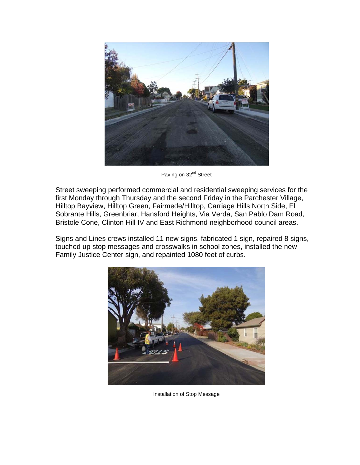

Paving on 32<sup>nd</sup> Street

Street sweeping performed commercial and residential sweeping services for the first Monday through Thursday and the second Friday in the Parchester Village, Hilltop Bayview, Hilltop Green, Fairmede/Hilltop, Carriage Hills North Side, El Sobrante Hills, Greenbriar, Hansford Heights, Via Verda, San Pablo Dam Road, Bristole Cone, Clinton Hill IV and East Richmond neighborhood council areas.

Signs and Lines crews installed 11 new signs, fabricated 1 sign, repaired 8 signs, touched up stop messages and crosswalks in school zones, installed the new Family Justice Center sign, and repainted 1080 feet of curbs.



Installation of Stop Message